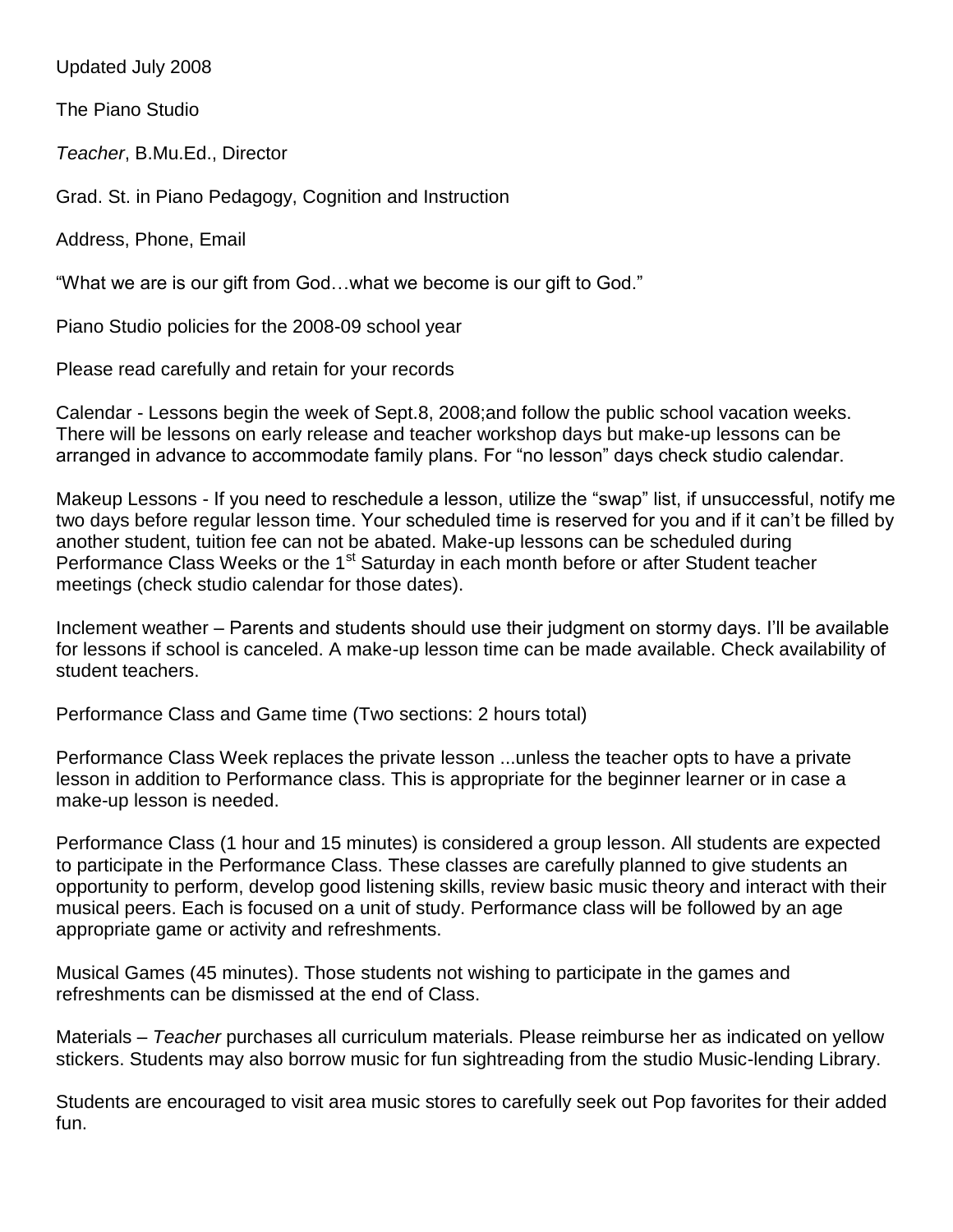Updated July 2008

The Piano Studio

*Teacher*, B.Mu.Ed., Director

Grad. St. in Piano Pedagogy, Cognition and Instruction

Address, Phone, Email

"What we are is our gift from God…what we become is our gift to God."

Piano Studio policies for the 2008-09 school year

Please read carefully and retain for your records

Calendar - Lessons begin the week of Sept.8, 2008;and follow the public school vacation weeks. There will be lessons on early release and teacher workshop days but make-up lessons can be arranged in advance to accommodate family plans. For "no lesson" days check studio calendar.

Makeup Lessons - If you need to reschedule a lesson, utilize the "swap" list, if unsuccessful, notify me two days before regular lesson time. Your scheduled time is reserved for you and if it can't be filled by another student, tuition fee can not be abated. Make-up lessons can be scheduled during Performance Class Weeks or the 1<sup>st</sup> Saturday in each month before or after Student teacher meetings (check studio calendar for those dates).

Inclement weather – Parents and students should use their judgment on stormy days. I'll be available for lessons if school is canceled. A make-up lesson time can be made available. Check availability of student teachers.

Performance Class and Game time (Two sections: 2 hours total)

Performance Class Week replaces the private lesson ...unless the teacher opts to have a private lesson in addition to Performance class. This is appropriate for the beginner learner or in case a make-up lesson is needed.

Performance Class (1 hour and 15 minutes) is considered a group lesson. All students are expected to participate in the Performance Class. These classes are carefully planned to give students an opportunity to perform, develop good listening skills, review basic music theory and interact with their musical peers. Each is focused on a unit of study. Performance class will be followed by an age appropriate game or activity and refreshments.

Musical Games (45 minutes). Those students not wishing to participate in the games and refreshments can be dismissed at the end of Class.

Materials – *Teacher* purchases all curriculum materials. Please reimburse her as indicated on yellow stickers. Students may also borrow music for fun sightreading from the studio Music-lending Library.

Students are encouraged to visit area music stores to carefully seek out Pop favorites for their added fun.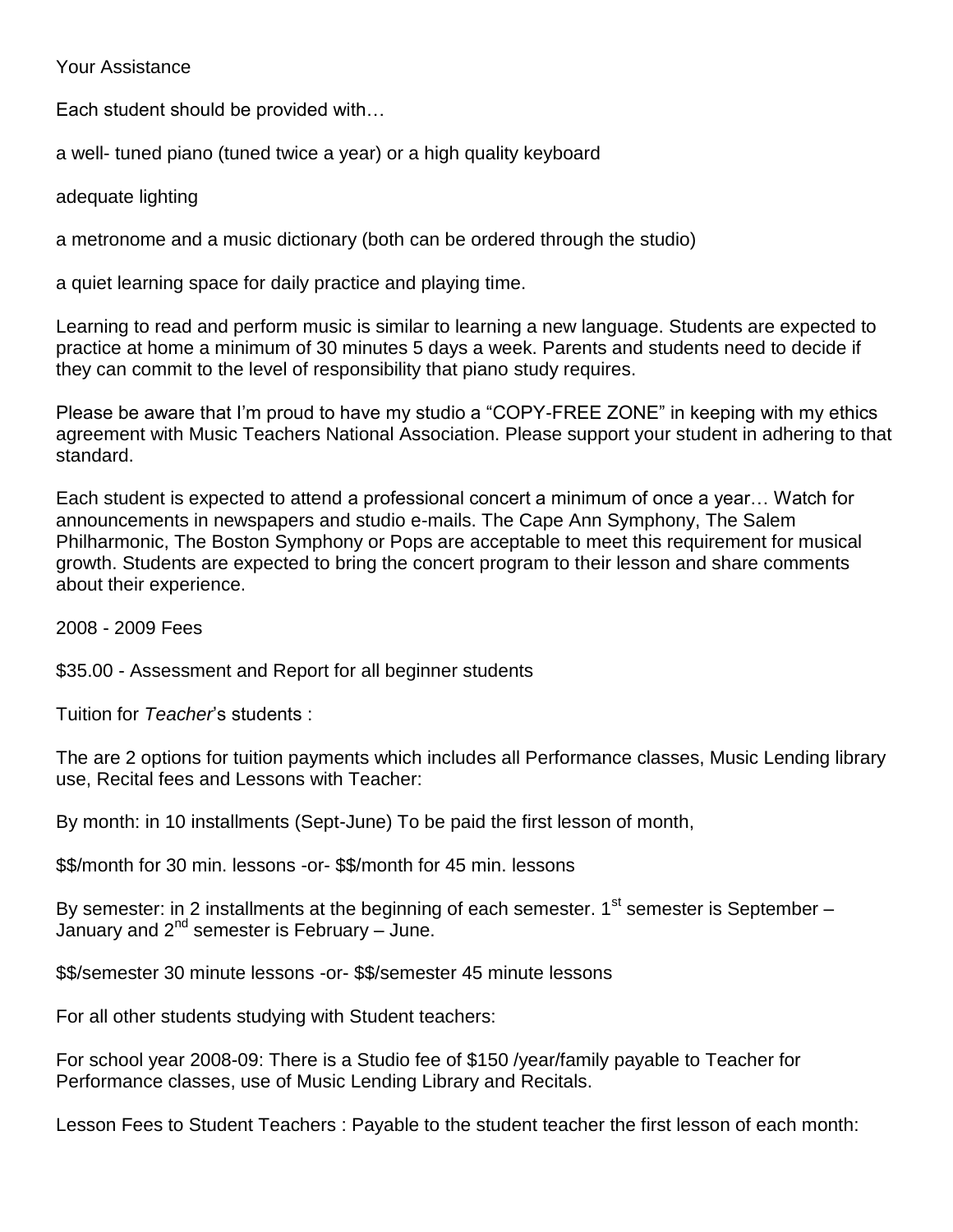## Your Assistance

Each student should be provided with…

a well- tuned piano (tuned twice a year) or a high quality keyboard

adequate lighting

a metronome and a music dictionary (both can be ordered through the studio)

a quiet learning space for daily practice and playing time.

Learning to read and perform music is similar to learning a new language. Students are expected to practice at home a minimum of 30 minutes 5 days a week. Parents and students need to decide if they can commit to the level of responsibility that piano study requires.

Please be aware that I'm proud to have my studio a "COPY-FREE ZONE" in keeping with my ethics agreement with Music Teachers National Association. Please support your student in adhering to that standard.

Each student is expected to attend a professional concert a minimum of once a year… Watch for announcements in newspapers and studio e-mails. The Cape Ann Symphony, The Salem Philharmonic, The Boston Symphony or Pops are acceptable to meet this requirement for musical growth. Students are expected to bring the concert program to their lesson and share comments about their experience.

2008 - 2009 Fees

\$35.00 - Assessment and Report for all beginner students

Tuition for *Teacher*'s students :

The are 2 options for tuition payments which includes all Performance classes, Music Lending library use, Recital fees and Lessons with Teacher:

By month: in 10 installments (Sept-June) To be paid the first lesson of month,

\$\$/month for 30 min. lessons -or- \$\$/month for 45 min. lessons

By semester: in 2 installments at the beginning of each semester.  $1<sup>st</sup>$  semester is September – January and  $2^{nd}$  semester is February – June.

\$\$/semester 30 minute lessons -or- \$\$/semester 45 minute lessons

For all other students studying with Student teachers:

For school year 2008-09: There is a Studio fee of \$150 /year/family payable to Teacher for Performance classes, use of Music Lending Library and Recitals.

Lesson Fees to Student Teachers : Payable to the student teacher the first lesson of each month: